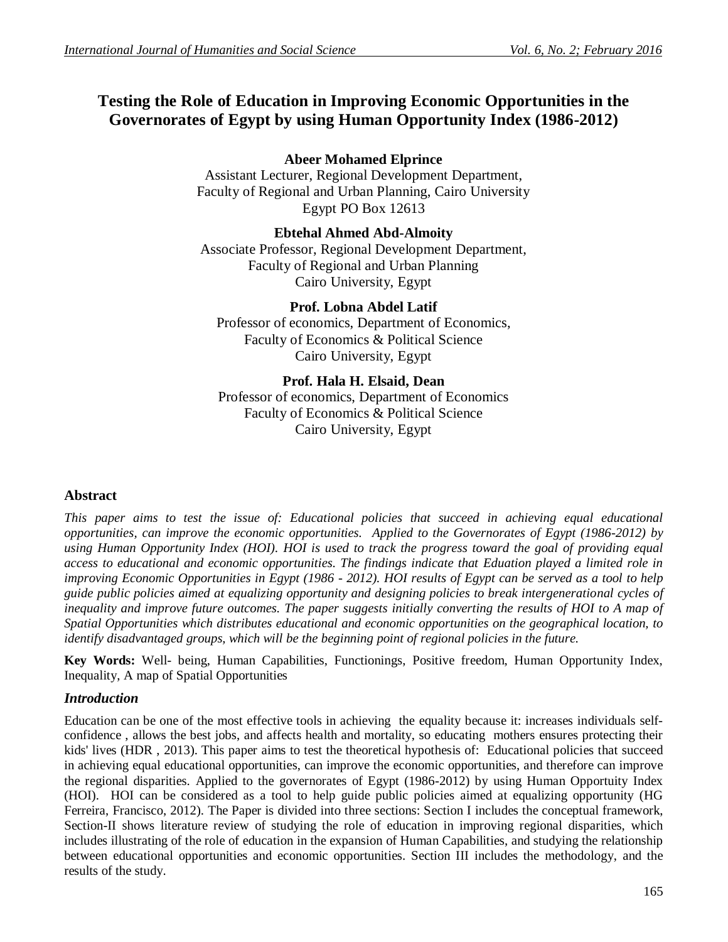# **Testing the Role of Education in Improving Economic Opportunities in the Governorates of Egypt by using Human Opportunity Index (1986-2012)**

# **Abeer Mohamed Elprince**

Assistant Lecturer, Regional Development Department, Faculty of Regional and Urban Planning, Cairo University Egypt PO Box 12613

# **Ebtehal Ahmed Abd-Almoity**

Associate Professor, Regional Development Department, Faculty of Regional and Urban Planning Cairo University, Egypt

# **Prof. Lobna Abdel Latif**

Professor of economics, Department of Economics, Faculty of Economics & Political Science Cairo University, Egypt

## **Prof. Hala H. Elsaid, Dean**

Professor of economics, Department of Economics Faculty of Economics & Political Science Cairo University, Egypt

# **Abstract**

*This paper aims to test the issue of: Educational policies that succeed in achieving equal educational opportunities, can improve the economic opportunities. Applied to the Governorates of Egypt (1986-2012) by using Human Opportunity Index (HOI). HOI is used to track the progress toward the goal of providing equal access to educational and economic opportunities. The findings indicate that Eduation played a limited role in improving Economic Opportunities in Egypt (1986 - 2012). HOI results of Egypt can be served as a tool to help guide public policies aimed at equalizing opportunity and designing policies to break intergenerational cycles of*  inequality and improve future outcomes. The paper suggests initially converting the results of HOI to A map of *Spatial Opportunities which distributes educational and economic opportunities on the geographical location, to identify disadvantaged groups, which will be the beginning point of regional policies in the future.*

**Key Words:** Well- being, Human Capabilities, Functionings, Positive freedom, Human Opportunity Index, Inequality, A map of Spatial Opportunities

# *Introduction*

Education can be one of the most effective tools in achieving the equality because it: increases individuals selfconfidence , allows the best jobs, and affects health and mortality, so educating mothers ensures protecting their kids' lives (HDR, 2013). This paper aims to test the theoretical hypothesis of: Educational policies that succeed in achieving equal educational opportunities, can improve the economic opportunities, and therefore can improve the regional disparities. Applied to the governorates of Egypt (1986-2012) by using Human Opportuity Index (HOI). HOI can be considered as a tool to help guide public policies aimed at equalizing opportunity (HG Ferreira, Francisco, 2012). The Paper is divided into three sections: Section I includes the conceptual framework, Section-II shows literature review of studying the role of education in improving regional disparities, which includes illustrating of the role of education in the expansion of Human Capabilities, and studying the relationship between educational opportunities and economic opportunities. Section III includes the methodology, and the results of the study.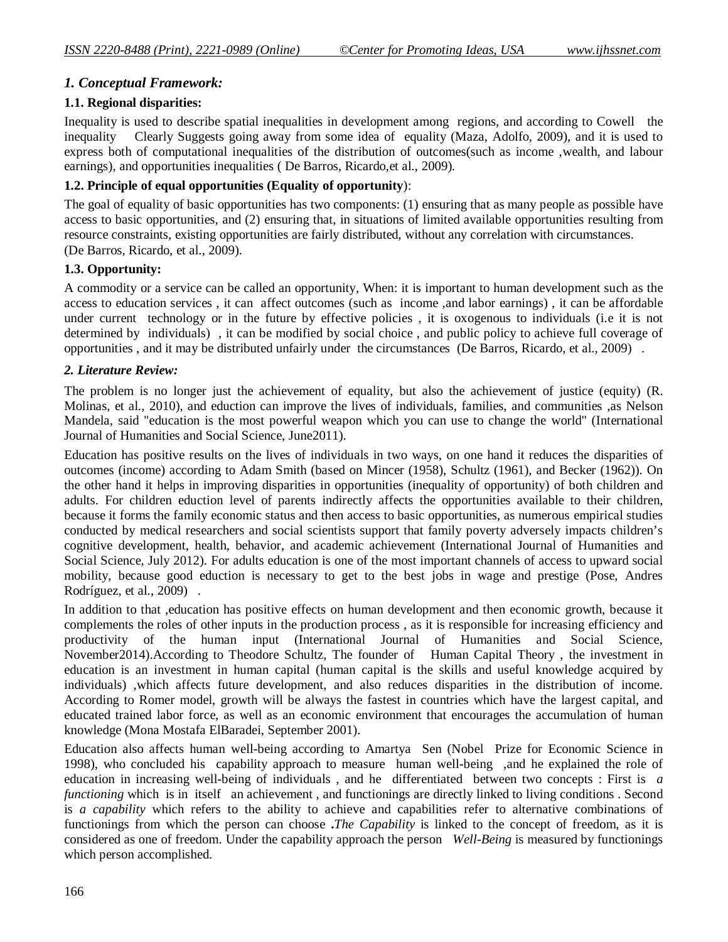# *1. Conceptual Framework:*

#### **1.1. Regional disparities:**

Inequality is used to describe spatial inequalities in development among regions, and according to Cowell the inequality Clearly Suggests going away from some idea of equality (Maza, Adolfo, 2009), and it is used to express both of computational inequalities of the distribution of outcomes(such as income ,wealth, and labour earnings), and opportunities inequalities ( De Barros, Ricardo,et al., 2009).

## **1.2. Principle of equal opportunities (Equality of opportunity**):

The goal of equality of basic opportunities has two components: (1) ensuring that as many people as possible have access to basic opportunities, and (2) ensuring that, in situations of limited available opportunities resulting from resource constraints, existing opportunities are fairly distributed, without any correlation with circumstances. (De Barros, Ricardo, et al., 2009).

## **1.3. Opportunity:**

A commodity or a service can be called an opportunity, When: it is important to human development such as the access to education services , it can affect outcomes (such as income ,and labor earnings) , it can be affordable under current technology or in the future by effective policies , it is oxogenous to individuals (i.e it is not determined by individuals) , it can be modified by social choice , and public policy to achieve full coverage of opportunities , and it may be distributed unfairly under the circumstances (De Barros, Ricardo, et al., 2009) .

## *2. Literature Review:*

The problem is no longer just the achievement of equality, but also the achievement of justice (equity) (R. Molinas, et al., 2010), and eduction can improve the lives of individuals, families, and communities ,as Nelson Mandela, said "education is the most powerful weapon which you can use to change the world" (International Journal of Humanities and Social Science, June2011).

Education has positive results on the lives of individuals in two ways, on one hand it reduces the disparities of outcomes (income) according to Adam Smith (based on Mincer (1958), Schultz (1961), and Becker (1962)). On the other hand it helps in improving disparities in opportunities (inequality of opportunity) of both children and adults. For children eduction level of parents indirectly affects the opportunities available to their children, because it forms the family economic status and then access to basic opportunities, as numerous empirical studies conducted by medical researchers and social scientists support that family poverty adversely impacts children's cognitive development, health, behavior, and academic achievement (International Journal of Humanities and Social Science, July 2012). For adults education is one of the most important channels of access to upward social mobility, because good eduction is necessary to get to the best jobs in wage and prestige (Pose, Andres Rodríguez, et al., 2009) .

In addition to that ,education has positive effects on human development and then economic growth, because it complements the roles of other inputs in the production process , as it is responsible for increasing efficiency and productivity of the human input (International Journal of Humanities and Social Science, November2014).According to Theodore Schultz, The founder of Human Capital Theory , the investment in education is an investment in human capital (human capital is the skills and useful knowledge acquired by individuals) ,which affects future development, and also reduces disparities in the distribution of income. According to Romer model, growth will be always the fastest in countries which have the largest capital, and educated trained labor force, as well as an economic environment that encourages the accumulation of human knowledge (Mona Mostafa ElBaradei, September 2001).

Education also affects human well-being according to Amartya Sen (Nobel Prize for Economic Science in 1998), who concluded his capability approach to measure human well-being ,and he explained the role of education in increasing well-being of individuals , and he differentiated between two concepts : First is *a functioning* which is in itself an achievement, and functionings are directly linked to living conditions. Second is *a capability* which refers to the ability to achieve and capabilities refer to alternative combinations of functionings from which the person can choose **.***The Capability* is linked to the concept of freedom, as it is considered as one of freedom. Under the capability approach the person *Well-Being* is measured by functionings which person accomplished.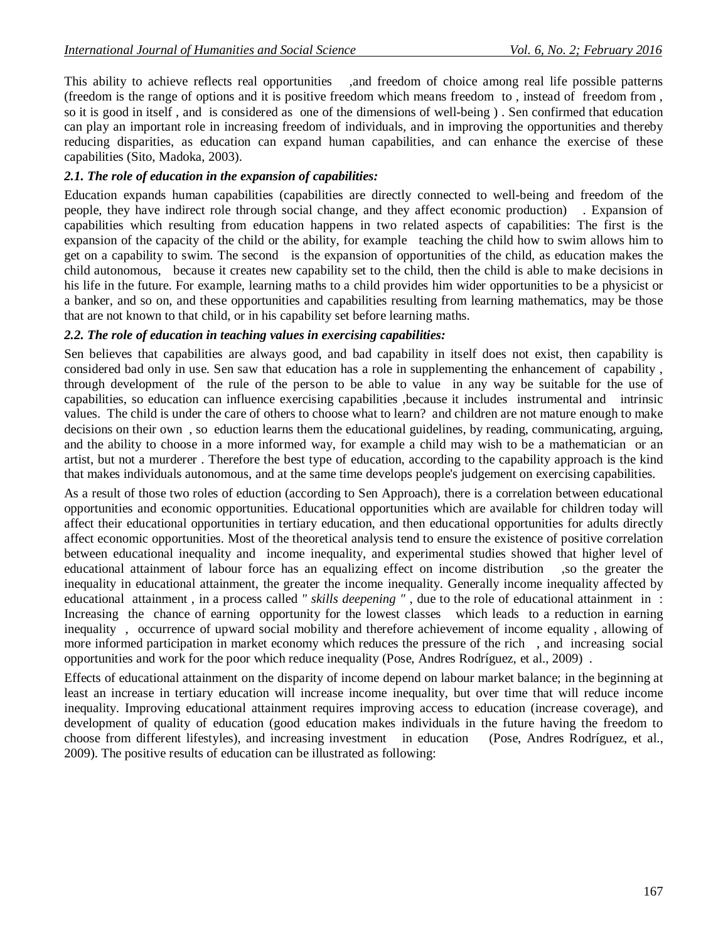This ability to achieve reflects real opportunities ,and freedom of choice among real life possible patterns (freedom is the range of options and it is positive freedom which means freedom to , instead of freedom from , so it is good in itself , and is considered as one of the dimensions of well-being ) . Sen confirmed that education can play an important role in increasing freedom of individuals, and in improving the opportunities and thereby reducing disparities, as education can expand human capabilities, and can enhance the exercise of these capabilities (Sito, Madoka, 2003).

## *2.1. The role of education in the expansion of capabilities:*

Education expands human capabilities (capabilities are directly connected to well-being and freedom of the people, they have indirect role through social change, and they affect economic production) . Expansion of capabilities which resulting from education happens in two related aspects of capabilities: The first is the expansion of the capacity of the child or the ability, for example teaching the child how to swim allows him to get on a capability to swim. The second is the expansion of opportunities of the child, as education makes the child autonomous, because it creates new capability set to the child, then the child is able to make decisions in his life in the future. For example, learning maths to a child provides him wider opportunities to be a physicist or a banker, and so on, and these opportunities and capabilities resulting from learning mathematics, may be those that are not known to that child, or in his capability set before learning maths.

#### *2.2. The role of education in teaching values in exercising capabilities:*

Sen believes that capabilities are always good, and bad capability in itself does not exist, then capability is considered bad only in use. Sen saw that education has a role in supplementing the enhancement of capability , through development of the rule of the person to be able to value in any way be suitable for the use of capabilities, so education can influence exercising capabilities ,because it includes instrumental and intrinsic values. The child is under the care of others to choose what to learn? and children are not mature enough to make decisions on their own , so eduction learns them the educational guidelines, by reading, communicating, arguing, and the ability to choose in a more informed way, for example a child may wish to be a mathematician or an artist, but not a murderer . Therefore the best type of education, according to the capability approach is the kind that makes individuals autonomous, and at the same time develops people's judgement on exercising capabilities.

As a result of those two roles of eduction (according to Sen Approach), there is a correlation between educational opportunities and economic opportunities. Educational opportunities which are available for children today will affect their educational opportunities in tertiary education, and then educational opportunities for adults directly affect economic opportunities. Most of the theoretical analysis tend to ensure the existence of positive correlation between educational inequality and income inequality, and experimental studies showed that higher level of educational attainment of labour force has an equalizing effect on income distribution ,so the greater the inequality in educational attainment, the greater the income inequality. Generally income inequality affected by educational attainment , in a process called *" skills deepening "* , due to the role of educational attainment in : Increasing the chance of earning opportunity for the lowest classes which leads to a reduction in earning inequality , occurrence of upward social mobility and therefore achievement of income equality , allowing of more informed participation in market economy which reduces the pressure of the rich, and increasing social opportunities and work for the poor which reduce inequality (Pose, Andres Rodríguez, et al., 2009) .

Effects of educational attainment on the disparity of income depend on labour market balance; in the beginning at least an increase in tertiary education will increase income inequality, but over time that will reduce income inequality. Improving educational attainment requires improving access to education (increase coverage), and development of quality of education (good education makes individuals in the future having the freedom to choose from different lifestyles), and increasing investment in education (Pose, Andres Rodríguez, et al., 2009). The positive results of education can be illustrated as following: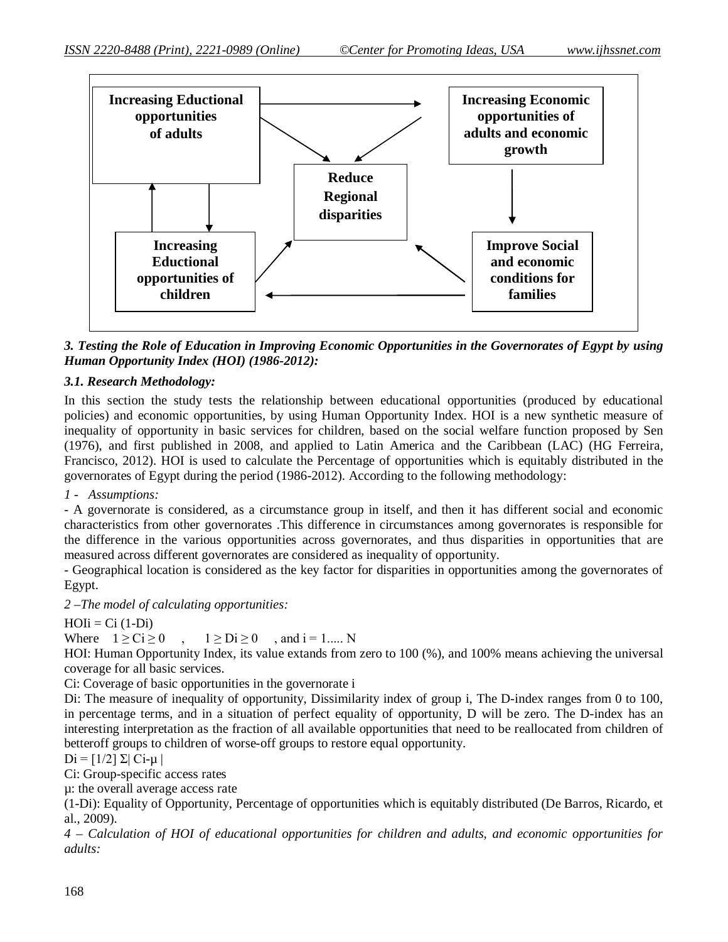

*3. Testing the Role of Education in Improving Economic Opportunities in the Governorates of Egypt by using Human Opportunity Index (HOI) (1986-2012):*

#### *3.1. Research Methodology:*

In this section the study tests the relationship between educational opportunities (produced by educational policies) and economic opportunities, by using Human Opportunity Index. HOI is a new synthetic measure of inequality of opportunity in basic services for children, based on the social welfare function proposed by Sen (1976), and first published in 2008, and applied to Latin America and the Caribbean (LAC) (HG Ferreira, Francisco, 2012). HOI is used to calculate the Percentage of opportunities which is equitably distributed in the governorates of Egypt during the period (1986-2012). According to the following methodology:

*1 - Assumptions:*

- A governorate is considered, as a circumstance group in itself, and then it has different social and economic characteristics from other governorates .This difference in circumstances among governorates is responsible for the difference in the various opportunities across governorates, and thus disparities in opportunities that are measured across different governorates are considered as inequality of opportunity.

- Geographical location is considered as the key factor for disparities in opportunities among the governorates of Egypt.

*2 –The model of calculating opportunities:* 

 $HOIi = Ci (1-Di)$ 

Where  $1 \geq Ci \geq 0$ ,  $1 \geq Di \geq 0$ , and  $i = 1,..., N$ 

HOI: Human Opportunity Index, its value extands from zero to 100 (%), and 100% means achieving the universal coverage for all basic services.

Ci: Coverage of basic opportunities in the governorate i

Di: The measure of inequality of opportunity, Dissimilarity index of group i, The D-index ranges from 0 to 100, in percentage terms, and in a situation of perfect equality of opportunity, D will be zero. The D-index has an interesting interpretation as the fraction of all available opportunities that need to be reallocated from children of betteroff groups to children of worse-off groups to restore equal opportunity.

 $Di = [1/2] Σ | Ci-μ|$ 

Ci: Group-specific access rates

µ: the overall average access rate

(1-Di): Equality of Opportunity, Percentage of opportunities which is equitably distributed (De Barros, Ricardo, et al., 2009).

*4 – Calculation of HOI of educational opportunities for children and adults, and economic opportunities for adults:*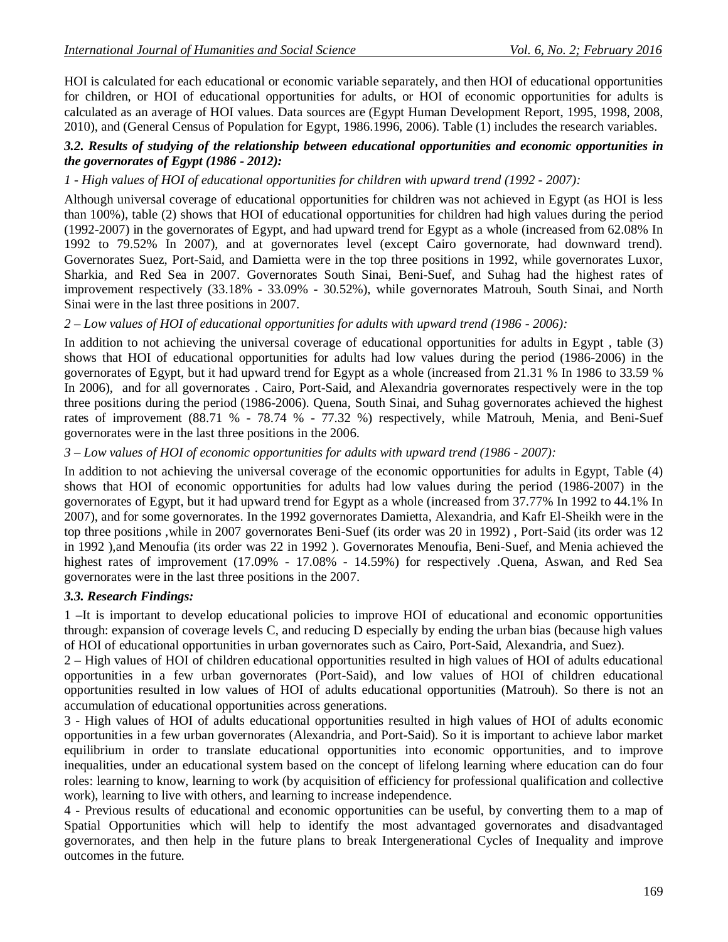HOI is calculated for each educational or economic variable separately, and then HOI of educational opportunities for children, or HOI of educational opportunities for adults, or HOI of economic opportunities for adults is calculated as an average of HOI values. Data sources are (Egypt Human Development Report, 1995, 1998, 2008, 2010), and (General Census of Population for Egypt, 1986.1996, 2006). Table (1) includes the research variables.

#### *3.2. Results of studying of the relationship between educational opportunities and economic opportunities in the governorates of Egypt (1986 - 2012):*

#### *1 - High values of HOI of educational opportunities for children with upward trend (1992 - 2007):*

Although universal coverage of educational opportunities for children was not achieved in Egypt (as HOI is less than 100%), table (2) shows that HOI of educational opportunities for children had high values during the period (1992-2007) in the governorates of Egypt, and had upward trend for Egypt as a whole (increased from 62.08% In 1992 to 79.52% In 2007), and at governorates level (except Cairo governorate, had downward trend). Governorates Suez, Port-Said, and Damietta were in the top three positions in 1992, while governorates Luxor, Sharkia, and Red Sea in 2007. Governorates South Sinai, Beni-Suef, and Suhag had the highest rates of improvement respectively (33.18% - 33.09% - 30.52%), while governorates Matrouh, South Sinai, and North Sinai were in the last three positions in 2007.

#### *2 – Low values of HOI of educational opportunities for adults with upward trend (1986 - 2006):*

In addition to not achieving the universal coverage of educational opportunities for adults in Egypt , table (3) shows that HOI of educational opportunities for adults had low values during the period (1986-2006) in the governorates of Egypt, but it had upward trend for Egypt as a whole (increased from 21.31 % In 1986 to 33.59 % In 2006), and for all governorates . Cairo, Port-Said, and Alexandria governorates respectively were in the top three positions during the period (1986-2006). Quena, South Sinai, and Suhag governorates achieved the highest rates of improvement (88.71 % - 78.74 % - 77.32 %) respectively, while Matrouh, Menia, and Beni-Suef governorates were in the last three positions in the 2006.

#### *3 – Low values of HOI of economic opportunities for adults with upward trend (1986 - 2007):*

In addition to not achieving the universal coverage of the economic opportunities for adults in Egypt, Table (4) shows that HOI of economic opportunities for adults had low values during the period (1986-2007) in the governorates of Egypt, but it had upward trend for Egypt as a whole (increased from 37.77% In 1992 to 44.1% In 2007), and for some governorates. In the 1992 governorates Damietta, Alexandria, and Kafr El-Sheikh were in the top three positions ,while in 2007 governorates Beni-Suef (its order was 20 in 1992) , Port-Said (its order was 12 in 1992 ),and Menoufia (its order was 22 in 1992 ). Governorates Menoufia, Beni-Suef, and Menia achieved the highest rates of improvement (17.09% - 17.08% - 14.59%) for respectively .Quena, Aswan, and Red Sea governorates were in the last three positions in the 2007.

#### *3.3. Research Findings:*

1 –It is important to develop educational policies to improve HOI of educational and economic opportunities through: expansion of coverage levels C, and reducing D especially by ending the urban bias (because high values of HOI of educational opportunities in urban governorates such as Cairo, Port-Said, Alexandria, and Suez).

2 – High values of HOI of children educational opportunities resulted in high values of HOI of adults educational opportunities in a few urban governorates (Port-Said), and low values of HOI of children educational opportunities resulted in low values of HOI of adults educational opportunities (Matrouh). So there is not an accumulation of educational opportunities across generations.

3 - High values of HOI of adults educational opportunities resulted in high values of HOI of adults economic opportunities in a few urban governorates (Alexandria, and Port-Said). So it is important to achieve labor market equilibrium in order to translate educational opportunities into economic opportunities, and to improve inequalities, under an educational system based on the concept of lifelong learning where education can do four roles: learning to know, learning to work (by acquisition of efficiency for professional qualification and collective work), learning to live with others, and learning to increase independence.

4 - Previous results of educational and economic opportunities can be useful, by converting them to a map of Spatial Opportunities which will help to identify the most advantaged governorates and disadvantaged governorates, and then help in the future plans to break Intergenerational Cycles of Inequality and improve outcomes in the future.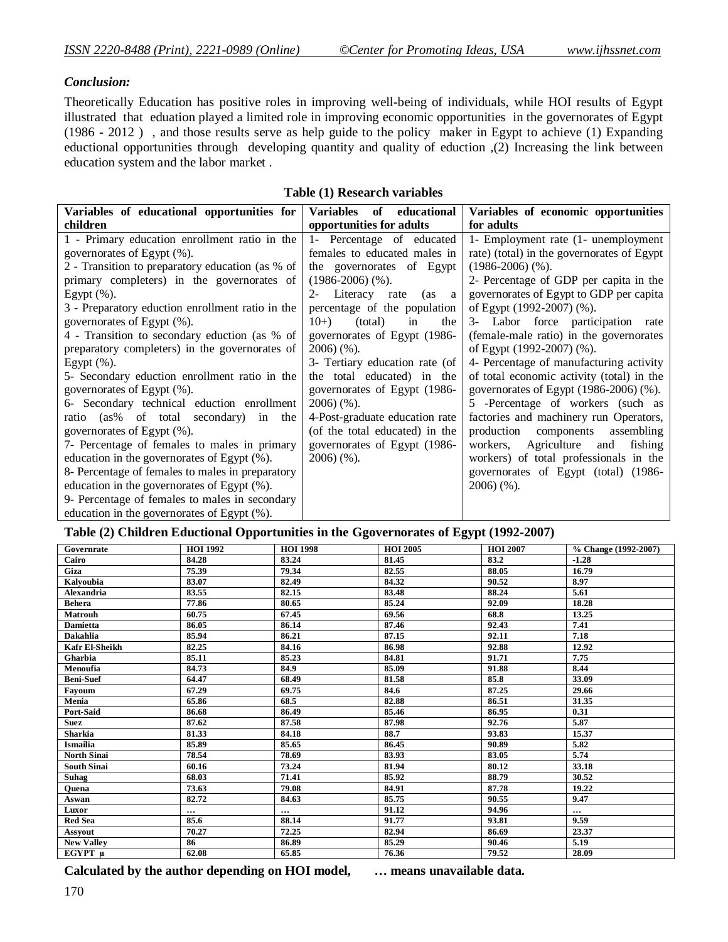#### *Conclusion:*

Theoretically Education has positive roles in improving well-being of individuals, while HOI results of Egypt illustrated that eduation played a limited role in improving economic opportunities in the governorates of Egypt (1986 - 2012 ) , and those results serve as help guide to the policy maker in Egypt to achieve (1) Expanding eductional opportunities through developing quantity and quality of eduction ,(2) Increasing the link between education system and the labor market .

| Variables of educational opportunities for       | educational<br><b>Variables</b><br>of | Variables of economic opportunities        |
|--------------------------------------------------|---------------------------------------|--------------------------------------------|
| children                                         | opportunities for adults              | for adults                                 |
| 1 - Primary education enrollment ratio in the    | 1- Percentage of educated             | 1- Employment rate (1- unemployment        |
| governorates of Egypt (%).                       | females to educated males in          | rate) (total) in the governorates of Egypt |
| 2 - Transition to preparatory education (as % of | the governorates of Egypt             | $(1986-2006)$ (%).                         |
| primary completers) in the governorates of       | $(1986-2006)$ (%).                    | 2- Percentage of GDP per capita in the     |
| Egypt $(\%).$                                    | Literacy rate<br>$2 -$<br>(as a       | governorates of Egypt to GDP per capita    |
| 3 - Preparatory eduction enrollment ratio in the | percentage of the population          | of Egypt (1992-2007) (%).                  |
| governorates of Egypt (%).                       | $10+$<br>(total)<br>the<br>in         | 3- Labor force participation rate          |
| 4 - Transition to secondary eduction (as % of    | governorates of Egypt (1986-          | (female-male ratio) in the governorates    |
| preparatory completers) in the governorates of   | $2006$ $(\%).$                        | of Egypt (1992-2007) (%).                  |
| Egypt $(\%).$                                    | 3- Tertiary education rate (of        | 4- Percentage of manufacturing activity    |
| 5- Secondary eduction enrollment ratio in the    | the total educated) in the            | of total economic activity (total) in the  |
| governorates of Egypt (%).                       | governorates of Egypt (1986-          | governorates of Egypt (1986-2006) (%).     |
| 6- Secondary technical eduction enrollment       | $2006$ $(\%).$                        | 5 -Percentage of workers (such as          |
| ratio (as% of total secondary) in<br>the         | 4-Post-graduate education rate        | factories and machinery run Operators,     |
| governorates of Egypt (%).                       | (of the total educated) in the        | production<br>components<br>assembling     |
| 7- Percentage of females to males in primary     | governorates of Egypt (1986-          | workers, Agriculture<br>and<br>fishing     |
| education in the governorates of Egypt (%).      | $2006$ (%).                           | workers) of total professionals in the     |
| 8- Percentage of females to males in preparatory |                                       | governorates of Egypt (total) (1986-       |
| education in the governorates of Egypt (%).      |                                       | $2006$ (%).                                |
| 9- Percentage of females to males in secondary   |                                       |                                            |
| education in the governorates of Egypt (%).      |                                       |                                            |

#### **Table (1) Research variables**

#### **Table (2) Children Eductional Opportunities in the Ggovernorates of Egypt (1992-2007)**

| Governrate            | <b>HOI 1992</b> | <b>HOI 1998</b> | <b>HOI 2005</b> | <b>HOI 2007</b> | % Change (1992-2007) |
|-----------------------|-----------------|-----------------|-----------------|-----------------|----------------------|
| Cairo                 | 84.28           | 83.24           | 81.45           | 83.2            | $-1.28$              |
| Giza                  | 75.39           | 79.34           | 82.55           | 88.05           | 16.79                |
| Kalyoubia             | 83.07           | 82.49           | 84.32           | 90.52           | 8.97                 |
| <b>Alexandria</b>     | 83.55           | 82.15           | 83.48           | 88.24           | 5.61                 |
| <b>Behera</b>         | 77.86           | 80.65           | 85.24           | 92.09           | 18.28                |
| <b>Matrouh</b>        | 60.75           | 67.45           | 69.56           | 68.8            | 13.25                |
| <b>Damietta</b>       | 86.05           | 86.14           | 87.46           | 92.43           | 7.41                 |
| <b>Dakahlia</b>       | 85.94           | 86.21           | 87.15           | 92.11           | 7.18                 |
| <b>Kafr El-Sheikh</b> | 82.25           | 84.16           | 86.98           | 92.88           | 12.92                |
| Gharbia               | 85.11           | 85.23           | 84.81           | 91.71           | 7.75                 |
| Menoufia              | 84.73           | 84.9            | 85.09           | 91.88           | 8.44                 |
| <b>Beni-Suef</b>      | 64.47           | 68.49           | 81.58           | 85.8            | 33.09                |
| Favoum                | 67.29           | 69.75           | 84.6            | 87.25           | 29.66                |
| Menia                 | 65.86           | 68.5            | 82.88           | 86.51           | 31.35                |
| Port-Said             | 86.68           | 86.49           | 85.46           | 86.95           | 0.31                 |
| <b>Suez</b>           | 87.62           | 87.58           | 87.98           | 92.76           | 5.87                 |
| Sharkia               | 81.33           | 84.18           | 88.7            | 93.83           | 15.37                |
| <b>Ismailia</b>       | 85.89           | 85.65           | 86.45           | 90.89           | 5.82                 |
| <b>North Sinai</b>    | 78.54           | 78.69           | 83.93           | 83.05           | 5.74                 |
| <b>South Sinai</b>    | 60.16           | 73.24           | 81.94           | 80.12           | 33.18                |
| <b>Suhag</b>          | 68.03           | 71.41           | 85.92           | 88.79           | 30.52                |
| Quena                 | 73.63           | 79.08           | 84.91           | 87.78           | 19.22                |
| Aswan                 | 82.72           | 84.63           | 85.75           | 90.55           | 9.47                 |
| Luxor                 | $\cdots$        | $\cdots$        | 91.12           | 94.96           | $\cdots$             |
| <b>Red Sea</b>        | 85.6            | 88.14           | 91.77           | 93.81           | 9.59                 |
| Assyout               | 70.27           | 72.25           | 82.94           | 86.69           | 23.37                |
| <b>New Valley</b>     | 86              | 86.89           | 85.29           | 90.46           | 5.19                 |
| EGYPT µ               | 62.08           | 65.85           | 76.36           | 79.52           | 28.09                |

**Calculated by the author depending on HOI model, … means unavailable data.**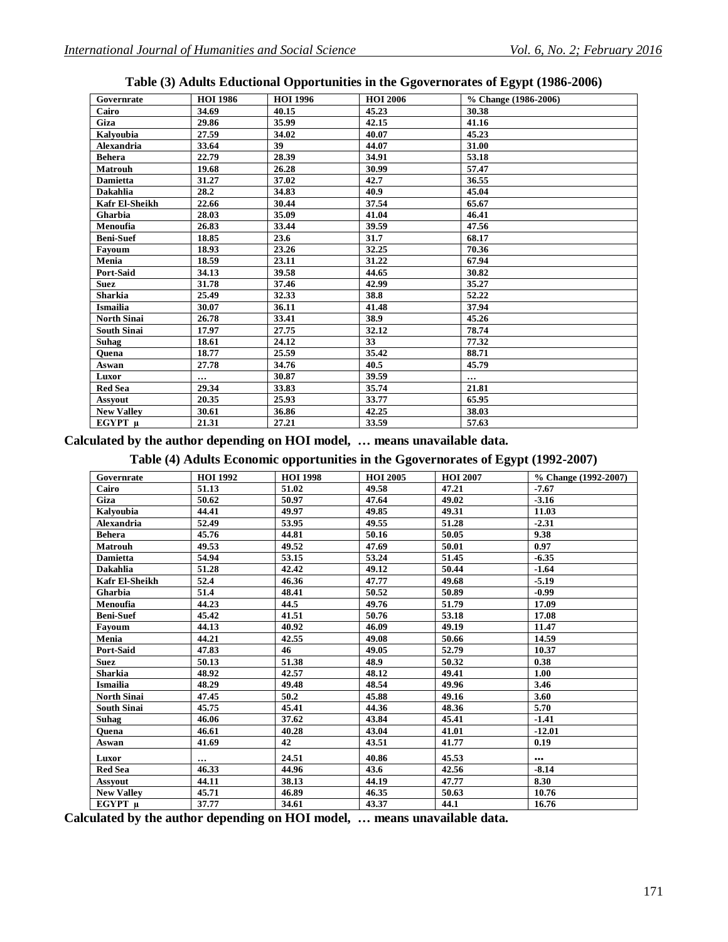| Governrate         | <b>HOI 1986</b> | <b>HOI 1996</b> | <b>HOI 2006</b> | % Change (1986-2006) |
|--------------------|-----------------|-----------------|-----------------|----------------------|
| Cairo              | 34.69           | 40.15           | 45.23           | 30.38                |
| Giza               | 29.86           | 35.99           | 42.15           | 41.16                |
| Kalyoubia          | 27.59           | 34.02           | 40.07           | 45.23                |
| <b>Alexandria</b>  | 33.64           | 39              | 44.07           | 31.00                |
| <b>Behera</b>      | 22.79           | 28.39           | 34.91           | 53.18                |
| <b>Matrouh</b>     | 19.68           | 26.28           | 30.99           | 57.47                |
| <b>Damietta</b>    | 31.27           | 37.02           | 42.7            | 36.55                |
| <b>Dakahlia</b>    | 28.2            | 34.83           | 40.9            | 45.04                |
| Kafr El-Sheikh     | 22.66           | 30.44           | 37.54           | 65.67                |
| Gharbia            | 28.03           | 35.09           | 41.04           | 46.41                |
| Menoufia           | 26.83           | 33.44           | 39.59           | 47.56                |
| <b>Beni-Suef</b>   | 18.85           | 23.6            | 31.7            | 68.17                |
| Favoum             | 18.93           | 23.26           | 32.25           | 70.36                |
| Menia              | 18.59           | 23.11           | 31.22           | 67.94                |
| Port-Said          | 34.13           | 39.58           | 44.65           | 30.82                |
| Suez               | 31.78           | 37.46           | 42.99           | 35.27                |
| <b>Sharkia</b>     | 25.49           | 32.33           | 38.8            | 52.22                |
| <b>Ismailia</b>    | 30.07           | 36.11           | 41.48           | 37.94                |
| <b>North Sinai</b> | 26.78           | 33.41           | 38.9            | 45.26                |
| <b>South Sinai</b> | 17.97           | 27.75           | 32.12           | 78.74                |
| Suhag              | 18.61           | 24.12           | 33              | 77.32                |
| Quena              | 18.77           | 25.59           | 35.42           | 88.71                |
| Aswan              | 27.78           | 34.76           | 40.5            | 45.79                |
| Luxor              | $\cdots$        | 30.87           | 39.59           | $\cdots$             |
| <b>Red Sea</b>     | 29.34           | 33.83           | 35.74           | 21.81                |
| <b>Assyout</b>     | 20.35           | 25.93           | 33.77           | 65.95                |
| <b>New Valley</b>  | 30.61           | 36.86           | 42.25           | 38.03                |
| EGYPT u            | 21.31           | 27.21           | 33.59           | 57.63                |

**Table (3) Adults Eductional Opportunities in the Ggovernorates of Egypt (1986-2006)**

**Calculated by the author depending on HOI model, … means unavailable data.**

**Table (4) Adults Economic opportunities in the Ggovernorates of Egypt (1992-2007)**

| Governrate         | <b>HOI 1992</b> | <b>HOI 1998</b> | <b>HOI 2005</b> | <b>HOI 2007</b> | % Change (1992-2007)    |
|--------------------|-----------------|-----------------|-----------------|-----------------|-------------------------|
| Cairo              | 51.13           | 51.02           | 49.58           | 47.21           | $-7.67$                 |
| Giza               | 50.62           | 50.97           | 47.64           | 49.02           | $-3.16$                 |
| Kalvoubia          | 44.41           | 49.97           | 49.85           | 49.31           | 11.03                   |
| <b>Alexandria</b>  | 52.49           | 53.95           | 49.55           | 51.28           | $-2.31$                 |
| <b>Behera</b>      | 45.76           | 44.81           | 50.16           | 50.05           | 9.38                    |
| <b>Matrouh</b>     | 49.53           | 49.52           | 47.69           | 50.01           | 0.97                    |
| <b>Damietta</b>    | 54.94           | 53.15           | 53.24           | 51.45           | $-6.35$                 |
| <b>Dakahlia</b>    | 51.28           | 42.42           | 49.12           | 50.44           | $-1.64$                 |
| Kafr El-Sheikh     | 52.4            | 46.36           | 47.77           | 49.68           | $-5.19$                 |
| Gharbia            | 51.4            | 48.41           | 50.52           | 50.89           | $-0.99$                 |
| Menoufia           | 44.23           | 44.5            | 49.76           | 51.79           | 17.09                   |
| <b>Beni-Suef</b>   | 45.42           | 41.51           | 50.76           | 53.18           | 17.08                   |
| Favoum             | 44.13           | 40.92           | 46.09           | 49.19           | 11.47                   |
| Menia              | 44.21           | 42.55           | 49.08           | 50.66           | 14.59                   |
| Port-Said          | 47.83           | 46              | 49.05           | 52.79           | 10.37                   |
| <b>Suez</b>        | 50.13           | 51.38           | 48.9            | 50.32           | 0.38                    |
| <b>Sharkia</b>     | 48.92           | 42.57           | 48.12           | 49.41           | 1.00                    |
| <b>Ismailia</b>    | 48.29           | 49.48           | 48.54           | 49.96           | 3.46                    |
| <b>North Sinai</b> | 47.45           | 50.2            | 45.88           | 49.16           | 3.60                    |
| <b>South Sinai</b> | 45.75           | 45.41           | 44.36           | 48.36           | 5.70                    |
| <b>Suhag</b>       | 46.06           | 37.62           | 43.84           | 45.41           | $-1.41$                 |
| Quena              | 46.61           | 40.28           | 43.04           | 41.01           | $-12.01$                |
| Aswan              | 41.69           | 42              | 43.51           | 41.77           | 0.19                    |
| Luxor              | $\cdots$        | 24.51           | 40.86           | 45.53           | $\bullet\bullet\bullet$ |
| <b>Red Sea</b>     | 46.33           | 44.96           | 43.6            | 42.56           | $-8.14$                 |
| <b>Assvout</b>     | 44.11           | 38.13           | 44.19           | 47.77           | 8.30                    |
| <b>New Valley</b>  | 45.71           | 46.89           | 46.35           | 50.63           | 10.76                   |
| EGYPT u            | 37.77           | 34.61           | 43.37           | 44.1            | 16.76                   |

**Calculated by the author depending on HOI model, … means unavailable data.**